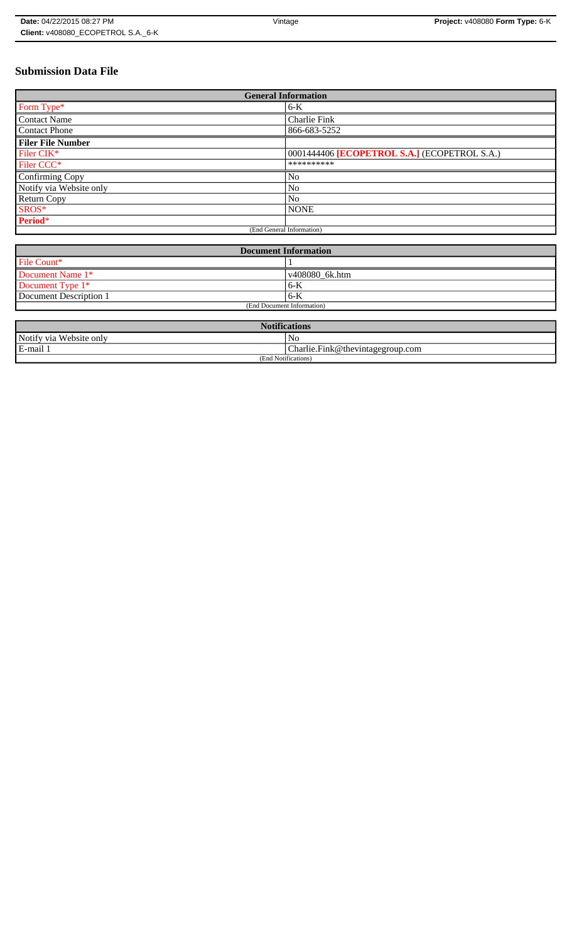# **Submission Data File**

| <b>General Information</b> |                                              |  |
|----------------------------|----------------------------------------------|--|
| Form Type*                 | $6-K$                                        |  |
| <b>Contact Name</b>        | Charlie Fink                                 |  |
| <b>Contact Phone</b>       | 866-683-5252                                 |  |
| <b>Filer File Number</b>   |                                              |  |
| Filer CIK*                 | 0001444406 [ECOPETROL S.A.] (ECOPETROL S.A.) |  |
| Filer CCC <sup>*</sup>     | **********                                   |  |
| Confirming Copy            | No                                           |  |
| Notify via Website only    | No                                           |  |
| <b>Return Copy</b>         | N <sub>o</sub>                               |  |
| SROS*                      | <b>NONE</b>                                  |  |
| Period*                    |                                              |  |
| (End General Information)  |                                              |  |

| <b>Document Information</b> |                |  |
|-----------------------------|----------------|--|
| File Count*                 |                |  |
| Document Name 1*            | v408080_6k.htm |  |
| Document Type 1*            | ' 6-K          |  |
| Document Description 1      | $6 - K$        |  |
| (End Document Information)  |                |  |

| <b>Notifications</b>       |                                       |
|----------------------------|---------------------------------------|
| Notify via<br>Website only | No                                    |
| E-mail                     | $Charlie.Fink@$ the vintage group.com |
| (End Notifications)        |                                       |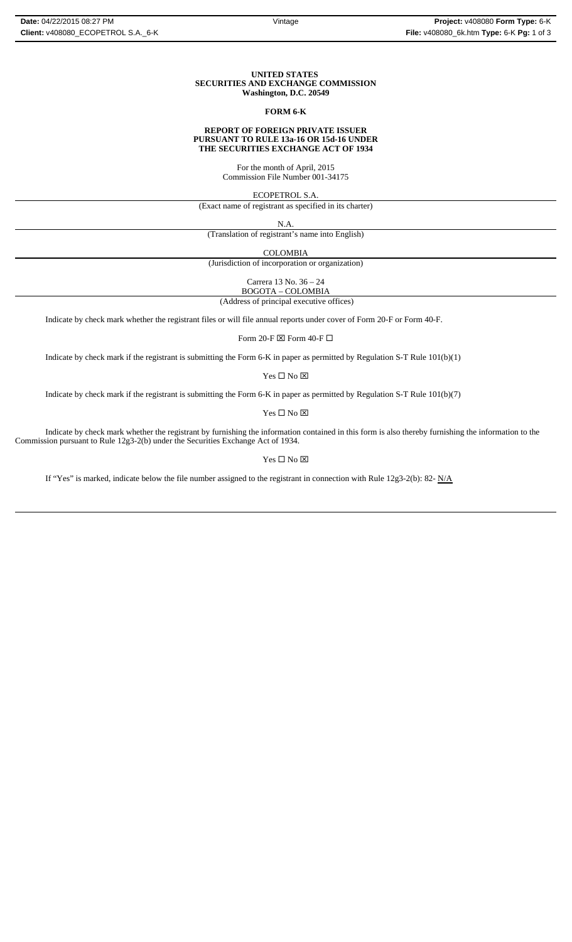### **UNITED STATES SECURITIES AND EXCHANGE COMMISSION Washington, D.C. 20549**

### **FORM 6-K**

#### **REPORT OF FOREIGN PRIVATE ISSUER PURSUANT TO RULE 13a-16 OR 15d-16 UNDER THE SECURITIES EXCHANGE ACT OF 1934**

For the month of April, 2015 Commission File Number 001-34175

ECOPETROL S.A.

(Exact name of registrant as specified in its charter)

N.A.

(Translation of registrant's name into English)

COLOMBIA

(Jurisdiction of incorporation or organization)

Carrera 13 No. 36 – 24

 (Address of principal executive offices) BOGOTA – COLOMBIA

Indicate by check mark whether the registrant files or will file annual reports under cover of Form 20-F or Form 40-F.

Form 20-F  $\boxtimes$  Form 40-F  $\Box$ 

Indicate by check mark if the registrant is submitting the Form 6-K in paper as permitted by Regulation S-T Rule 101(b)(1)

Yes □ No ⊠

Indicate by check mark if the registrant is submitting the Form 6-K in paper as permitted by Regulation S-T Rule 101(b)(7)

 $\mathbf{Yes} \ \square \ \mathbf{No} \ \boxtimes$ 

Indicate by check mark whether the registrant by furnishing the information contained in this form is also thereby furnishing the information to the Commission pursuant to Rule 12g3-2(b) under the Securities Exchange Act of 1934.

 $Yes \Box No \boxtimes$ 

If "Yes" is marked, indicate below the file number assigned to the registrant in connection with Rule 12g3-2(b): 82- N/A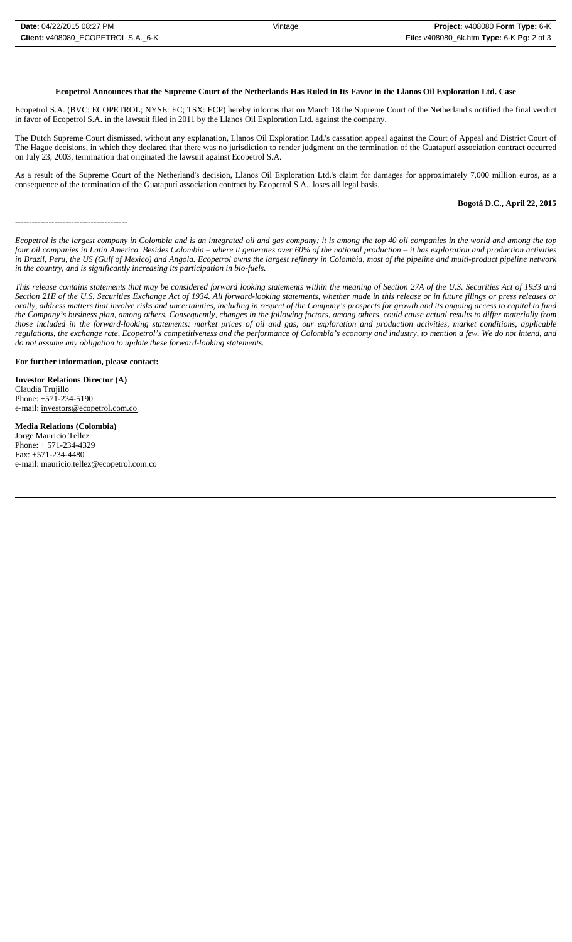Ecopetrol S.A. (BVC: ECOPETROL; NYSE: EC; TSX: ECP) hereby informs that on March 18 the Supreme Court of the Netherland's notified the final verdict in favor of Ecopetrol S.A. in the lawsuit filed in 2011 by the Llanos Oil Exploration Ltd. against the company.

The Dutch Supreme Court dismissed, without any explanation, Llanos Oil Exploration Ltd.'s cassation appeal against the Court of Appeal and District Court of The Hague decisions, in which they declared that there was no jurisdiction to render judgment on the termination of the Guatapurí association contract occurred on July 23, 2003, termination that originated the lawsuit against Ecopetrol S.A.

As a result of the Supreme Court of the Netherland's decision, Llanos Oil Exploration Ltd.'s claim for damages for approximately 7,000 million euros, as a consequence of the termination of the Guatapurí association contract by Ecopetrol S.A., loses all legal basis.

### **Bogotá D.C., April 22, 2015**

----------------------------------------

*Ecopetrol is the largest company in Colombia and is an integrated oil and gas company; it is among the top 40 oil companies in the world and among the top four oil companies in Latin America. Besides Colombia – where it generates over 60% of the national production – it has exploration and production activities in Brazil, Peru, the US (Gulf of Mexico) and Angola. Ecopetrol owns the largest refinery in Colombia, most of the pipeline and multi-product pipeline network in the country, and is significantly increasing its participation in bio-fuels.* 

*This release contains statements that may be considered forward looking statements within the meaning of Section 27A of the U.S. Securities Act of 1933 and Section 21E of the U.S. Securities Exchange Act of 1934. All forward-looking statements, whether made in this release or in future filings or press releases or orally, address matters that involve risks and uncertainties, including in respect of the Company's prospects for growth and its ongoing access to capital to fund the Company's business plan, among others. Consequently, changes in the following factors, among others, could cause actual results to differ materially from those included in the forward-looking statements: market prices of oil and gas, our exploration and production activities, market conditions, applicable regulations, the exchange rate, Ecopetrol's competitiveness and the performance of Colombia's economy and industry, to mention a few. We do not intend, and do not assume any obligation to update these forward-looking statements.*

**For further information, please contact:** 

**Investor Relations Director (A)** Claudia Trujillo Phone: +571-234-5190 e-mail: investors@ecopetrol.com.co

**Media Relations (Colombia)**  Jorge Mauricio Tellez Phone: + 571-234-4329 Fax: +571-234-4480 e-mail: mauricio.tellez@ecopetrol.com.co